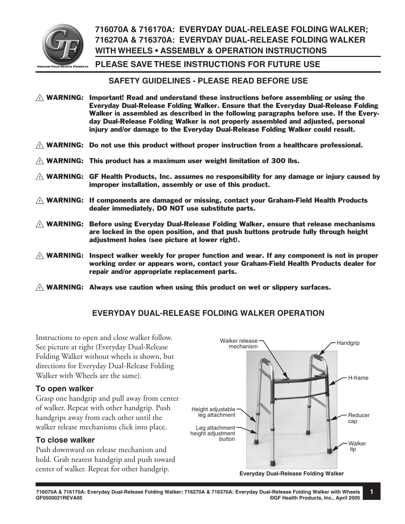

# **716070A & 716170A: EVERYDAY DUAL-RELEASE FOLDING WALKER; 716270A & 716370A: EVERYDAY DUAL-RELEASE FOLDING WALKER WITH WHEELS • ASSEMBLY & OPERATION INSTRUCTIONS**

#### **PLEASE SAVE THESE INSTRUCTIONS FOR FUTURE USE**

#### **SAFETY GUIDELINES - PLEASE READ BEFORE USE**

- $\triangle$  WARNING: Important! Read and understand these instructions before assembling or using the Everyday Dual-Release Folding Walker. Ensure that the Everyday Dual-Release Folding Walker is assembled as described in the following paragraphs before use. If the Everyday Dual-Release Folding Walker is not properly assembled and adjusted, personal injury and/or damage to the Everyday Dual-Release Folding Walker could result.
- $\triangle$  WARNING: Do not use this product without proper instruction from a healthcare professional.
- $\triangle$  WARNING: This product has a maximum user weight limitation of 300 lbs.
- $\triangle$  WARNING: GF Health Products, Inc. assumes no responsibility for any damage or injury caused by improper installation, assembly or use of this product.
- $\triangle$  WARNING: If components are damaged or missing, contact your Graham-Field Health Products dealer immediately. DO NOT use substitute parts.
- $\triangle$  WARNING: Before using Everyday Dual-Release Folding Walker, ensure that release mechanisms are locked in the open position, and that push buttons protrude fully through height adjustment holes (see picture at lower right).
- $\triangle$  WARNING: Inspect walker weekly for proper function and wear. If any component is not in proper working order or appears worn, contact your Graham-Field Health Products dealer for repair and/or appropriate replacement parts.
- $\triangle$  WARNING: Always use caution when using this product on wet or slippery surfaces.

### **EVERYDAY DUAL-RELEASE FOLDING WALKER OPERATION**

Instructions to open and close walker follow. See picture at right (Everyday Dual-Release Folding Walker without wheels is shown, but directions for Everyday Dual-Release Folding Walker with Wheels are the same).

#### **To open walker**

Grasp one handgrip and pull away from center of walker. Repeat with other handgrip. Push handgrips away from each other until the walker release mechanisms click into place.

#### **To close walker**

Push downward on release mechanism and hold. Grab nearest handgrip and push toward



**1**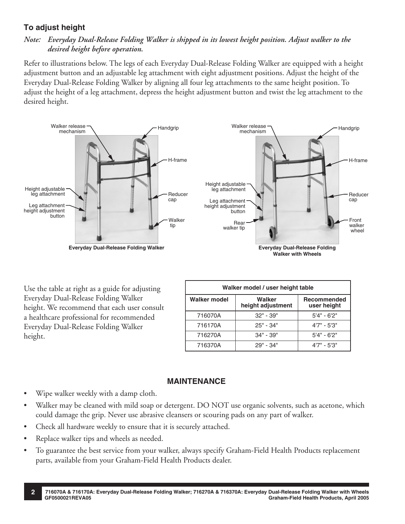## **To adjust height**

## *Note: Everyday Dual-Release Folding Walker is shipped in its lowest height position. Adjust walker to the desired height before operation.*

Refer to illustrations below. The legs of each Everyday Dual-Release Folding Walker are equipped with a height adjustment button and an adjustable leg attachment with eight adjustment positions. Adjust the height of the Everyday Dual-Release Folding Walker by aligning all four leg attachments to the same height position. To adjust the height of a leg attachment, depress the height adjustment button and twist the leg attachment to the desired height.



Use the table at right as a guide for adjusting Everyday Dual-Release Folding Walker height. We recommend that each user consult a healthcare professional for recommended Everyday Dual-Release Folding Walker height.

| Walker model / user height table |                             |                            |  |  |  |  |  |  |  |
|----------------------------------|-----------------------------|----------------------------|--|--|--|--|--|--|--|
| <b>Walker model</b>              | Walker<br>height adjustment | Recommended<br>user height |  |  |  |  |  |  |  |
| 716070A                          | $32" - 39"$                 | $5'4" - 6'2"$              |  |  |  |  |  |  |  |
| 716170A                          | $25" - 34"$                 | $4'7'' - 5'3''$            |  |  |  |  |  |  |  |
| 716270A                          | $34" - 39"$                 | $5'4" - 6'2"$              |  |  |  |  |  |  |  |
| 716370A                          | 29" - 34"                   | $4'7'' - 5'3''$            |  |  |  |  |  |  |  |

### **MAINTENANCE**

- Wipe walker weekly with a damp cloth.
- Walker may be cleaned with mild soap or detergent. DO NOT use organic solvents, such as acetone, which could damage the grip. Never use abrasive cleansers or scouring pads on any part of walker.
- Check all hardware weekly to ensure that it is securely attached.
- Replace walker tips and wheels as needed.
- To guarantee the best service from your walker, always specify Graham-Field Health Products replacement parts, available from your Graham-Field Health Products dealer.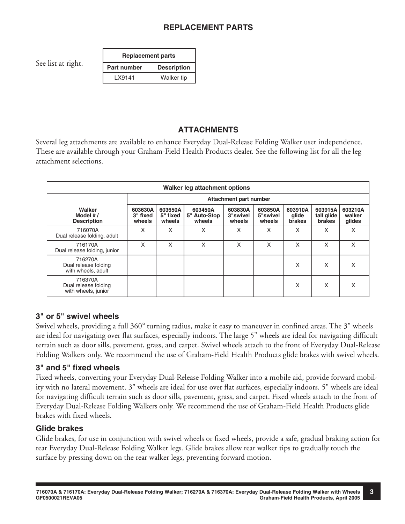See list at right.

| <b>Replacement parts</b> |                    |  |  |  |  |
|--------------------------|--------------------|--|--|--|--|
| <b>Part number</b>       | <b>Description</b> |  |  |  |  |
| LX9141                   | <b>Walker tip</b>  |  |  |  |  |

# **ATTACHMENTS**

Several leg attachments are available to enhance Everyday Dual-Release Folding Walker user independence. These are available through your Graham-Field Health Products dealer. See the following list for all the leg attachment selections.

| Walker leg attachment options                          |                               |                               |                                   |                               |                               |                                   |                                        |                             |  |  |
|--------------------------------------------------------|-------------------------------|-------------------------------|-----------------------------------|-------------------------------|-------------------------------|-----------------------------------|----------------------------------------|-----------------------------|--|--|
|                                                        | Attachment part number        |                               |                                   |                               |                               |                                   |                                        |                             |  |  |
| Walker<br>Model $#/$<br><b>Description</b>             | 603630A<br>3" fixed<br>wheels | 603650A<br>5" fixed<br>wheels | 603450A<br>5" Auto-Stop<br>wheels | 603830A<br>3"swivel<br>wheels | 603850A<br>5"swivel<br>wheels | 603910A<br>glide<br><b>brakes</b> | 603915A<br>tall glide<br><b>brakes</b> | 603210A<br>walker<br>glides |  |  |
| 716070A<br>Dual release folding, adult                 | X                             | X                             | X                                 | X                             | X                             | X                                 | X                                      | X                           |  |  |
| 716170A<br>Dual release folding, junior                | X                             | X                             | X                                 | X                             | X                             | X                                 | X                                      | X                           |  |  |
| 716270A<br>Dual release folding<br>with wheels, adult  |                               |                               |                                   |                               |                               | X                                 | X                                      | X                           |  |  |
| 716370A<br>Dual release folding<br>with wheels, junior |                               |                               |                                   |                               |                               | X                                 | X                                      | x                           |  |  |

## **3" or 5" swivel wheels**

Swivel wheels, providing a full 360° turning radius, make it easy to maneuver in confined areas. The 3" wheels are ideal for navigating over flat surfaces, especially indoors. The large 5" wheels are ideal for navigating difficult terrain such as door sills, pavement, grass, and carpet. Swivel wheels attach to the front of Everyday Dual-Release Folding Walkers only. We recommend the use of Graham-Field Health Products glide brakes with swivel wheels.

## **3" and 5" fixed wheels**

Fixed wheels, converting your Everyday Dual-Release Folding Walker into a mobile aid, provide forward mobility with no lateral movement. 3" wheels are ideal for use over flat surfaces, especially indoors. 5" wheels are ideal for navigating difficult terrain such as door sills, pavement, grass, and carpet. Fixed wheels attach to the front of Everyday Dual-Release Folding Walkers only. We recommend the use of Graham-Field Health Products glide brakes with fixed wheels.

## **Glide brakes**

Glide brakes, for use in conjunction with swivel wheels or fixed wheels, provide a safe, gradual braking action for rear Everyday Dual-Release Folding Walker legs. Glide brakes allow rear walker tips to gradually touch the surface by pressing down on the rear walker legs, preventing forward motion.